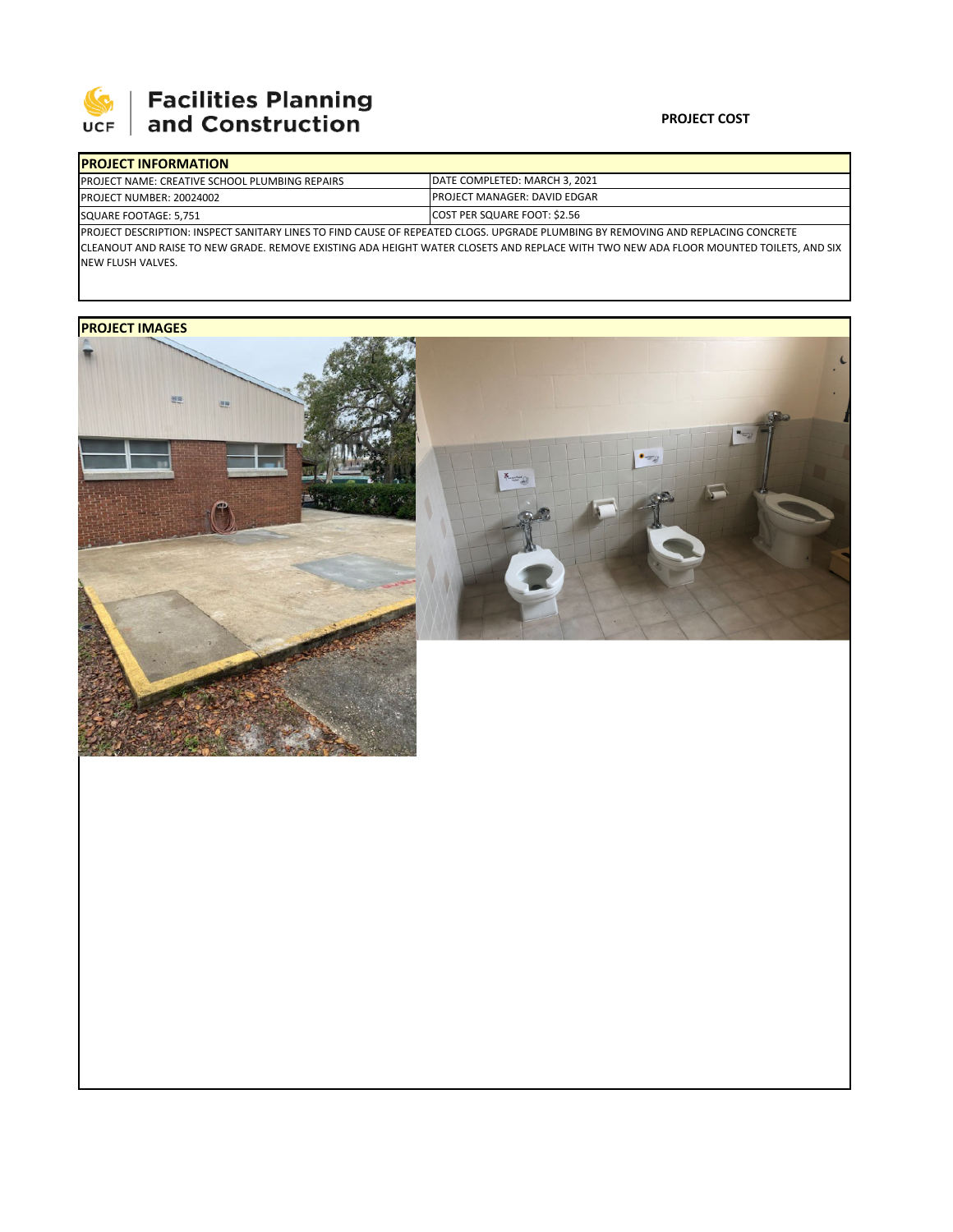

# | Facilities Planning<br>| and Construction

### **PROJECT COST**

| <b>PROJECT INFORMATION</b> |                                                       |                                                                                                                                   |  |  |  |  |  |
|----------------------------|-------------------------------------------------------|-----------------------------------------------------------------------------------------------------------------------------------|--|--|--|--|--|
|                            | <b>PROJECT NAME: CREATIVE SCHOOL PLUMBING REPAIRS</b> | <b>IDATE COMPLETED: MARCH 3. 2021</b>                                                                                             |  |  |  |  |  |
|                            | <b>PROJECT NUMBER: 20024002</b>                       | <b>IPROJECT MANAGER: DAVID EDGAR</b>                                                                                              |  |  |  |  |  |
| SQUARE FOOTAGE: 5,751      |                                                       | COST PER SQUARE FOOT: \$2.56                                                                                                      |  |  |  |  |  |
|                            |                                                       | IPROJECT DESCRIPTION: INSPECT SANITARY LINES TO FIND CAUSE OF REPEATED CLOGS. UPGRADE PLUMBING BY REMOVING AND REPLACING CONCRETE |  |  |  |  |  |

CLEANOUT AND RAISE TO NEW GRADE. REMOVE EXISTING ADA HEIGHT WATER CLOSETS AND REPLACE WITH TWO NEW ADA FLOOR MOUNTED TOILETS, AND SIX NEW FLUSH VALVES.

## **PROJECT IMAGES**